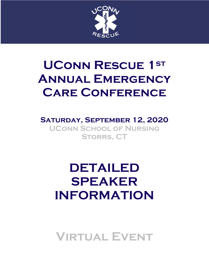

# **UConn Rescue 1st Annual Emergency Care Conference**

### **Saturday, September 12, 2020 UConn School of Nursing Storrs, CT**

# **DETAILED SPEAKER INFORMATION**

**Virtual Event**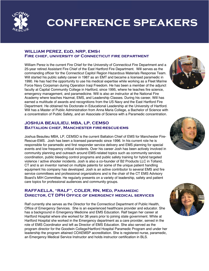

## **conference speakers**

#### **WILLIAM PEREZ, EdD, NRP, EMS-I Fire chief, university of Connecticut fire department**

William Perez is the current Fire Chief for the University of Connecticut Fire Department and a 25-year retired Assistant Fire Chief of the East Hartford Fire Department. Will serves as the commanding officer for the Connecticut Capitol Region Hazardous Materials Response Team. Will started his public safety career in 1987 as an EMT and became a licensed paramedic in 1990. He has had the opportunity to use his medical expertise while working as a Fleet Marine Force Navy Corpsman during Operation Iraqi Freedom. He has been a member of the adjunct faculty at Capital Community College in Hartford, since 1995, where he teaches fire science, emergency management, and paramedicine. Will is also an instructor at the National Fire Academy where teaches Hazmat, EMS, and Leadership Classes. During his career, Will has earned a multitude of awards and recognitions from the US Navy and the East Hartford Fire Department. He obtained his Doctorate in Educational Leadership at the University of Hartford. Will has a Master of Public Administration from Anna Maria College, a Bachelor of Science with a concentration of Public Safety, and an Associate of Science with a Paramedic concentration.

#### **JOSHUA BEAULIEU, MBA, LP, CEMSO Battalion chief, Manchester fire-rescue-ems**

Joshua Beaulieu MBA, LP, CEMSO is the current Battalion Chief of EMS for Manchester Fire-Rescue-EMS. Josh has been a licensed paramedic since 1996. In his current role he is responsible for paramedic and first responder service delivery and EMS planning for special events and low frequency critical incidents. Over his career Josh has been actively involved in community planning and outreach around EMS-related topics such as community services coordination, public bleeding control programs and public safety training for hybrid targeted violence / active shooter incidents. Josh is also a co-founder of B2 Products LLC in Tolland, CT and is an inventor named on multiple patents for some of the unique patient handling equipment his company has developed. Josh is an active contributor to several EMS and fire service committees and professional organizations and is the chair of the CT EMS Advisory Board's MIH Committee. He regularly presents on a variety of leadership, safety and patient care topics for professional audiences and community groups.

#### **RAFFAELLA, "RALF", COLER, RN, MEd, Paramedic Director, CT DPH Office of emergency medical services**

Ralf currently she serves as the Director for the Connecticut Department of Public Health, Office of Emergency Services. She is an experienced healthcare provider and educator. She has a background in Emergency Medicine and EMS Education. Ralf began her career at Hartford Hospital where she worked for 38 years prior to joining state government. While at Hartford Hospital she worked in the Emergency department as a care provider, served in the role of EMS Coordinator and left as Director of EMS Education. She also served as the program director for the Goodwin College/Hartford Hospital Paramedic Program and under her leadership the program attained COAEMSP accreditation. She is registered nurse, paramedic, an Emergency Medical Service Instructor and holds instructor certification in BLS.